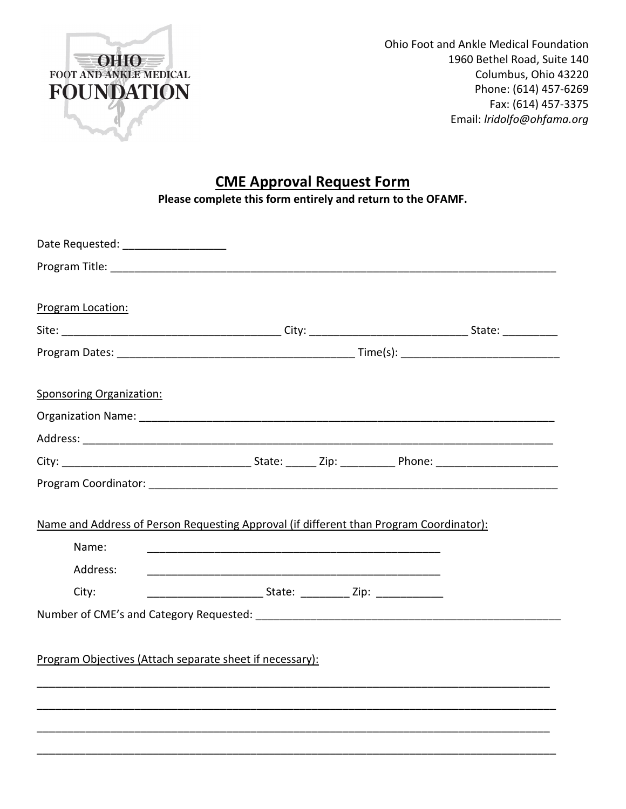

Ohio Foot and Ankle Medical Foundation 1960 Bethel Road, Suite 140 Columbus, Ohio 43220 Phone: (614) 457-6269 Fax: (614) 457-3375 Email: *lridolfo@ohfama.org* 

# **CME Approval Request Form**

**Please complete this form entirely and return to the OFAMF.** 

|  | Name and Address of Person Requesting Approval (if different than Program Coordinator): |
|--|-----------------------------------------------------------------------------------------|
|  |                                                                                         |
|  |                                                                                         |
|  |                                                                                         |
|  |                                                                                         |
|  |                                                                                         |
|  |                                                                                         |
|  |                                                                                         |
|  |                                                                                         |
|  |                                                                                         |
|  |                                                                                         |
|  | Program Objectives (Attach separate sheet if necessary):                                |